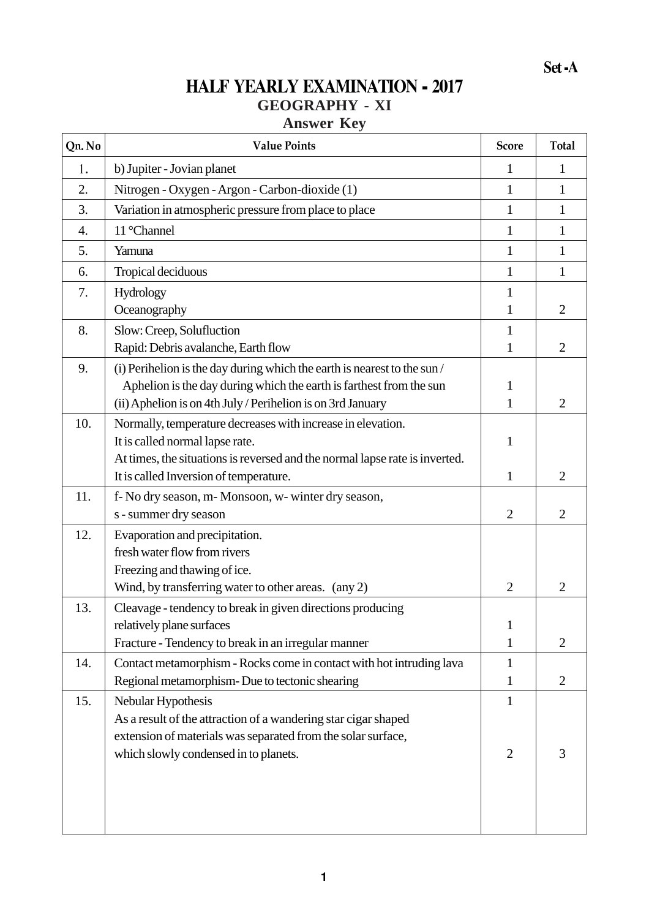## **HALF YEARLY EXAMINATION - 2017 GEOGRAPHY - XI**

## **Answer Key**

| b) Jupiter - Jovian planet<br>1.<br>1<br>2.<br>Nitrogen - Oxygen - Argon - Carbon-dioxide (1)<br>$\mathbf{1}$                         | 1<br>$\mathbf{1}$<br>$\mathbf{1}$ |
|---------------------------------------------------------------------------------------------------------------------------------------|-----------------------------------|
|                                                                                                                                       |                                   |
|                                                                                                                                       |                                   |
| 3.<br>Variation in atmospheric pressure from place to place<br>$\mathbf{1}$                                                           |                                   |
| 11 °Channel<br>$\overline{4}$ .<br>$\mathbf{1}$                                                                                       | $\mathbf{1}$                      |
| 5.<br>Yamuna<br>$\mathbf{1}$                                                                                                          | $\mathbf{1}$                      |
| Tropical deciduous<br>6.<br>1                                                                                                         | 1                                 |
| 7.<br>Hydrology<br>1                                                                                                                  |                                   |
| Oceanography<br>1                                                                                                                     | $\overline{2}$                    |
| 8.<br>Slow: Creep, Solufluction<br>1                                                                                                  |                                   |
| Rapid: Debris avalanche, Earth flow<br>1                                                                                              | $\overline{2}$                    |
| 9.<br>(i) Perihelion is the day during which the earth is nearest to the sun/                                                         |                                   |
| Aphelion is the day during which the earth is farthest from the sun<br>1                                                              |                                   |
| (ii) Aphelion is on 4th July / Perihelion is on 3rd January<br>1                                                                      | $\overline{2}$                    |
| 10.<br>Normally, temperature decreases with increase in elevation.                                                                    |                                   |
| It is called normal lapse rate.<br>1                                                                                                  |                                   |
| At times, the situations is reversed and the normal lapse rate is inverted.<br>It is called Inversion of temperature.<br>$\mathbf{1}$ | $\overline{2}$                    |
|                                                                                                                                       |                                   |
| 11.<br>f- No dry season, m- Monsoon, w- winter dry season,<br>s - summer dry season<br>$\overline{2}$                                 | $\overline{2}$                    |
| 12.<br>Evaporation and precipitation.                                                                                                 |                                   |
| fresh water flow from rivers                                                                                                          |                                   |
| Freezing and thawing of ice.                                                                                                          |                                   |
| Wind, by transferring water to other areas. (any 2)<br>$\overline{2}$                                                                 | $\overline{2}$                    |
| 13.<br>Cleavage - tendency to break in given directions producing                                                                     |                                   |
| relatively plane surfaces<br>$\mathbf{1}$                                                                                             |                                   |
| Fracture - Tendency to break in an irregular manner<br>$\mathbf{1}$                                                                   | $\overline{2}$                    |
| Contact metamorphism - Rocks come in contact with hot intruding lava<br>14.<br>$\mathbf{1}$                                           |                                   |
| Regional metamorphism- Due to tectonic shearing<br>$\mathbf{1}$                                                                       | 2                                 |
| 15.<br>Nebular Hypothesis<br>$\mathbf{1}$                                                                                             |                                   |
| As a result of the attraction of a wandering star cigar shaped                                                                        |                                   |
| extension of materials was separated from the solar surface,                                                                          |                                   |
| which slowly condensed in to planets.<br>$\overline{2}$                                                                               | 3                                 |
|                                                                                                                                       |                                   |
|                                                                                                                                       |                                   |
|                                                                                                                                       |                                   |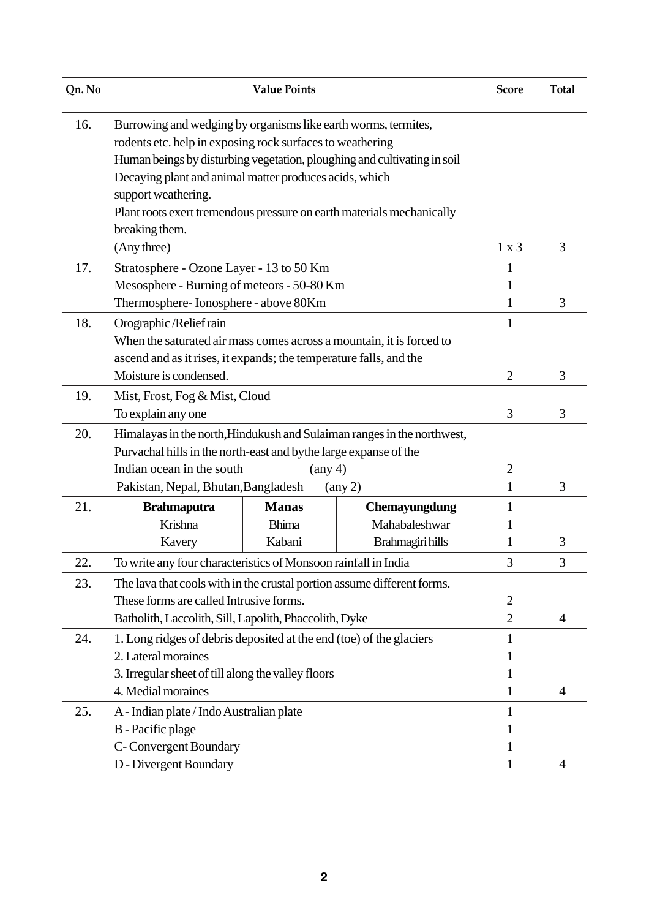| Qn. No | <b>Value Points</b>                                                                                                                                                                                                                                                                                                                                                                 |                              |                                | <b>Score</b>                     | <b>Total</b> |
|--------|-------------------------------------------------------------------------------------------------------------------------------------------------------------------------------------------------------------------------------------------------------------------------------------------------------------------------------------------------------------------------------------|------------------------------|--------------------------------|----------------------------------|--------------|
| 16.    | Burrowing and wedging by organisms like earth worms, termites,<br>rodents etc. help in exposing rock surfaces to weathering<br>Human beings by disturbing vegetation, ploughing and cultivating in soil<br>Decaying plant and animal matter produces acids, which<br>support weathering.<br>Plant roots exert tremendous pressure on earth materials mechanically<br>breaking them. |                              |                                |                                  | 3            |
| 17.    | (Any three)                                                                                                                                                                                                                                                                                                                                                                         |                              |                                | 1 x 3                            |              |
|        | Stratosphere - Ozone Layer - 13 to 50 Km                                                                                                                                                                                                                                                                                                                                            |                              |                                | L<br>1                           |              |
|        | Mesosphere - Burning of meteors - 50-80 Km<br>Thermosphere-Ionosphere - above 80Km                                                                                                                                                                                                                                                                                                  |                              |                                |                                  | 3            |
| 18.    | Orographic/Relief rain                                                                                                                                                                                                                                                                                                                                                              |                              |                                | 1<br>$\mathbf{1}$                |              |
|        | When the saturated air mass comes across a mountain, it is forced to                                                                                                                                                                                                                                                                                                                |                              |                                |                                  |              |
|        | ascend and as it rises, it expands; the temperature falls, and the                                                                                                                                                                                                                                                                                                                  |                              |                                |                                  |              |
|        | Moisture is condensed.                                                                                                                                                                                                                                                                                                                                                              |                              |                                | $\overline{2}$                   | 3            |
| 19.    | Mist, Frost, Fog & Mist, Cloud                                                                                                                                                                                                                                                                                                                                                      |                              |                                |                                  |              |
|        | To explain any one                                                                                                                                                                                                                                                                                                                                                                  |                              |                                | 3                                | 3            |
| 20.    | Himalayas in the north, Hindukush and Sulaiman ranges in the northwest,<br>Purvachal hills in the north-east and bythe large expanse of the                                                                                                                                                                                                                                         |                              |                                |                                  |              |
|        | Indian ocean in the south                                                                                                                                                                                                                                                                                                                                                           | $(\text{any } 4)$            |                                | $\overline{2}$<br>$\mathbf{1}$   | 3            |
|        | Pakistan, Nepal, Bhutan, Bangladesh                                                                                                                                                                                                                                                                                                                                                 |                              | $(\text{any } 2)$              |                                  |              |
| 21.    | <b>Brahmaputra</b><br>Krishna                                                                                                                                                                                                                                                                                                                                                       | <b>Manas</b><br><b>Bhima</b> | Chemayungdung<br>Mahabaleshwar | 1                                |              |
|        |                                                                                                                                                                                                                                                                                                                                                                                     | Kabani                       |                                | 1                                | 3            |
| 22     | Brahmagiri hills<br>Kavery                                                                                                                                                                                                                                                                                                                                                          |                              |                                | 3                                | 3            |
|        | To write any four characteristics of Monsoon rainfall in India                                                                                                                                                                                                                                                                                                                      |                              |                                |                                  |              |
| 23.    | The lava that cools with in the crustal portion assume different forms.                                                                                                                                                                                                                                                                                                             |                              |                                |                                  |              |
|        | These forms are called Intrusive forms.                                                                                                                                                                                                                                                                                                                                             |                              |                                | $\overline{2}$<br>$\overline{2}$ | 4            |
| 24.    | Batholith, Laccolith, Sill, Lapolith, Phaccolith, Dyke<br>1. Long ridges of debris deposited at the end (toe) of the glaciers                                                                                                                                                                                                                                                       |                              |                                | 1                                |              |
|        | 2. Lateral moraines                                                                                                                                                                                                                                                                                                                                                                 |                              |                                |                                  |              |
|        | 3. Irregular sheet of till along the valley floors                                                                                                                                                                                                                                                                                                                                  |                              |                                | 1                                |              |
|        | 4. Medial moraines                                                                                                                                                                                                                                                                                                                                                                  |                              |                                | 1                                | 4            |
| 25.    | A - Indian plate / Indo Australian plate                                                                                                                                                                                                                                                                                                                                            |                              |                                | 1                                |              |
|        | <b>B</b> - Pacific plage                                                                                                                                                                                                                                                                                                                                                            |                              |                                |                                  |              |
|        | C-Convergent Boundary                                                                                                                                                                                                                                                                                                                                                               |                              |                                |                                  |              |
|        | D - Divergent Boundary                                                                                                                                                                                                                                                                                                                                                              |                              |                                | 1                                | 4            |
|        |                                                                                                                                                                                                                                                                                                                                                                                     |                              |                                |                                  |              |
|        |                                                                                                                                                                                                                                                                                                                                                                                     |                              |                                |                                  |              |